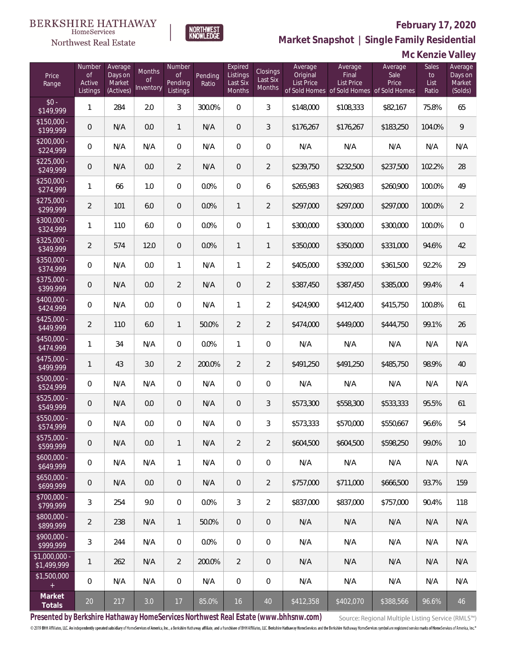

HomeServices

**Market Snapshot | Single Family Residential**

### **Mc Kenzie Valley**

| Price<br>Range                    | Number<br>of<br>Active<br>Listings | Average<br>Days on<br>Market<br>(Actives) | Months<br><b>of</b><br>Inventory | Number<br>Οf<br>Pending<br>Listings | Pending<br>Ratio | Expired<br>Listings<br>Last Six<br>Months | Closings<br>Last Six<br>Months | Average<br>Original<br><b>List Price</b> | Average<br>Final<br><b>List Price</b><br>of Sold Homes of Sold Homes of Sold Homes | Average<br>Sale<br>Price | Sales<br>to<br>List<br>Ratio | Average<br>Days on<br>Market<br>(Solds) |
|-----------------------------------|------------------------------------|-------------------------------------------|----------------------------------|-------------------------------------|------------------|-------------------------------------------|--------------------------------|------------------------------------------|------------------------------------------------------------------------------------|--------------------------|------------------------------|-----------------------------------------|
| $$0 -$<br>\$149,999               | $\mathbf{1}$                       | 284                                       | 2.0                              | 3                                   | 300.0%           | $\Omega$                                  | $\overline{3}$                 | \$148,000                                | \$108,333                                                                          | \$82,167                 | 75.8%                        | 65                                      |
| $$150,000 -$<br>\$199,999         | 0                                  | N/A                                       | 0.0                              | $\mathbf{1}$                        | N/A              | $\Omega$                                  | 3                              | \$176,267                                | \$176,267                                                                          | \$183,250                | 104.0%                       | $\overline{9}$                          |
| $$200,000 -$<br>\$224,999         | $\overline{0}$                     | N/A                                       | N/A                              | $\overline{0}$                      | N/A              | $\Omega$                                  | $\overline{0}$                 | N/A                                      | N/A                                                                                | N/A                      | N/A                          | N/A                                     |
| $$225,000 -$<br>\$249,999         | $\overline{0}$                     | N/A                                       | 0.0                              | $\overline{2}$                      | N/A              | $\Omega$                                  | $\overline{2}$                 | \$239,750                                | \$232,500                                                                          | \$237,500                | 102.2%                       | 28                                      |
| $$250,000 -$<br>\$274,999         | 1                                  | 66                                        | 1.0                              | $\overline{0}$                      | 0.0%             | $\Omega$                                  | 6                              | \$265,983                                | \$260,983                                                                          | \$260,900                | 100.0%                       | 49                                      |
| $$275,000 -$<br>\$299,999         | $\overline{2}$                     | 101                                       | 6.0                              | $\overline{0}$                      | 0.0%             | $\mathbf{1}$                              | $\overline{2}$                 | \$297,000                                | \$297,000                                                                          | \$297,000                | 100.0%                       | $\overline{2}$                          |
| $$300,000 -$<br>\$324,999         | 1                                  | 110                                       | 6.0                              | $\overline{0}$                      | 0.0%             | $\Omega$                                  | $\mathbf{1}$                   | \$300,000                                | \$300,000                                                                          | \$300,000                | 100.0%                       | $\mathbf 0$                             |
| $$325,000 -$<br>\$349,999         | $\overline{2}$                     | 574                                       | 12.0                             | $\overline{0}$                      | 0.0%             | $\mathbf{1}$                              | $\mathbf{1}$                   | \$350,000                                | \$350,000                                                                          | \$331,000                | 94.6%                        | 42                                      |
| $$350,000 -$<br>\$374,999         | $\overline{0}$                     | N/A                                       | 0.0                              | $\mathbf{1}$                        | N/A              | $\mathbf{1}$                              | $\overline{2}$                 | \$405,000                                | \$392,000                                                                          | \$361,500                | 92.2%                        | 29                                      |
| \$375,000 -<br>\$399,999          | $\overline{0}$                     | N/A                                       | 0.0                              | 2                                   | N/A              | $\Omega$                                  | $\overline{2}$                 | \$387,450                                | \$387,450                                                                          | \$385,000                | 99.4%                        | $\overline{4}$                          |
| $$400,000 -$<br>\$424,999         | $\overline{0}$                     | N/A                                       | 0.0                              | $\overline{0}$                      | N/A              | $\mathbf{1}$                              | $\overline{2}$                 | \$424,900                                | \$412,400                                                                          | \$415,750                | 100.8%                       | 61                                      |
| $$425,000 -$<br>\$449,999         | $\overline{2}$                     | 110                                       | 6.0                              | $\mathbf{1}$                        | 50.0%            | $\overline{2}$                            | $\overline{2}$                 | \$474,000                                | \$449,000                                                                          | \$444,750                | 99.1%                        | 26                                      |
| $$450,000 -$<br>\$474,999         | $\mathbf{1}$                       | 34                                        | N/A                              | $\overline{0}$                      | 0.0%             | $\mathbf{1}$                              | $\overline{0}$                 | N/A                                      | N/A                                                                                | N/A                      | N/A                          | N/A                                     |
| $$475,000 -$<br>\$499,999         | $\mathbf{1}$                       | 43                                        | 3.0                              | 2                                   | 200.0%           | $\overline{2}$                            | $\overline{2}$                 | \$491,250                                | \$491,250                                                                          | \$485,750                | 98.9%                        | 40                                      |
| $$500,000 -$<br>\$524,999         | $\overline{0}$                     | N/A                                       | N/A                              | $\overline{0}$                      | N/A              | $\Omega$                                  | $\overline{0}$                 | N/A                                      | N/A                                                                                | N/A                      | N/A                          | N/A                                     |
| $$525,000 -$<br>\$549,999         | $\overline{0}$                     | N/A                                       | 0.0                              | $\overline{0}$                      | N/A              | $\overline{0}$                            | 3                              | \$573,300                                | \$558,300                                                                          | \$533,333                | 95.5%                        | 61                                      |
| \$550,000 -<br>\$574,999          | 0                                  | N/A                                       | 0.0                              | $\overline{0}$                      | N/A              | $\mathbf{0}$                              | 3                              | \$573,333                                | \$570,000                                                                          | \$550,667                | 96.6%                        | 54                                      |
| $$575,000 -$<br>\$599,999         | $\mathbf 0$                        | N/A                                       | 0.0                              | $\mathbf{1}$                        | N/A              | $\overline{2}$                            | $\overline{2}$                 | \$604,500                                | \$604,500                                                                          | \$598,250                | 99.0%                        | 10                                      |
| $$600,000 -$<br>\$649,999         | 0                                  | N/A                                       | N/A                              | $\mathbf{1}$                        | N/A              | $\mathbf 0$                               | 0                              | N/A                                      | N/A                                                                                | N/A                      | N/A                          | N/A                                     |
| $$650,000 -$<br>\$699,999         | $\mathbf 0$                        | N/A                                       | 0.0                              | $\mathbf 0$                         | N/A              | $\theta$                                  | $\overline{2}$                 | \$757,000                                | \$711,000                                                                          | \$666,500                | 93.7%                        | 159                                     |
| $$700,000 -$<br>\$799,999         | 3                                  | 254                                       | 9.0                              | 0                                   | 0.0%             | $\mathfrak{Z}$                            | $\overline{2}$                 | \$837,000                                | \$837,000                                                                          | \$757,000                | 90.4%                        | 118                                     |
| $$800,000 -$<br>\$899,999         | $\overline{2}$                     | 238                                       | N/A                              | $\mathbf{1}$                        | 50.0%            | $\theta$                                  | 0                              | N/A                                      | N/A                                                                                | N/A                      | N/A                          | N/A                                     |
| $$900,000 -$<br>$\sqrt{$999,999}$ | 3                                  | 244                                       | N/A                              | 0                                   | 0.0%             | $\mathbf 0$                               | 0                              | N/A                                      | N/A                                                                                | N/A                      | N/A                          | N/A                                     |
| \$1,000,000 -<br>\$1,499,999      | 1                                  | 262                                       | N/A                              | $\overline{2}$                      | 200.0%           | $\overline{2}$                            | 0                              | N/A                                      | N/A                                                                                | N/A                      | N/A                          | N/A                                     |
| \$1,500,000<br>$\pm$              | $\boldsymbol{0}$                   | N/A                                       | N/A                              | $\mathbf 0$                         | N/A              | $\mathbf 0$                               | $\mathbf 0$                    | N/A                                      | N/A                                                                                | N/A                      | N/A                          | N/A                                     |
| Market<br>Totals                  | $20\,$                             | 217                                       | 3.0                              | $17$                                | 85.0%            | 16                                        | 40                             | \$412,358                                | \$402,070                                                                          | \$388,566                | 96.6%                        | 46                                      |

**Presented by Berkshire Hathaway HomeServices Northwest Real Estate (www.bhhsnw.com)**

Source: Regional Multiple Listing Service (RMLS™)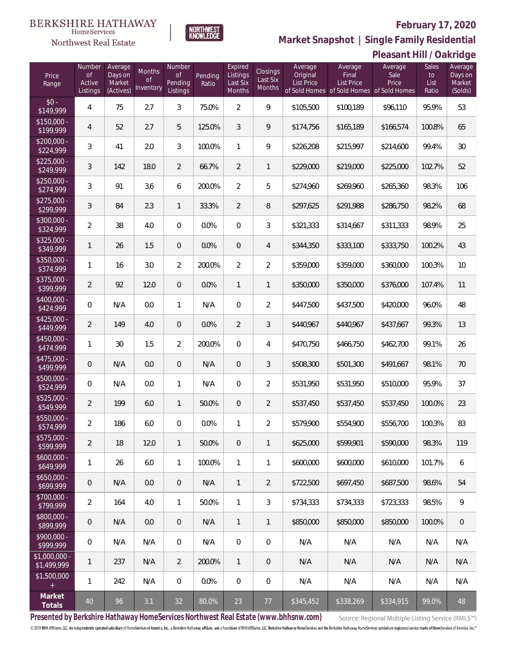**Pleasant Hill / Oakridge**



**Market Snapshot | Single Family Residential**

## HomeServices Northwest Real Estate

| Price<br>Range               | Number<br><b>of</b><br>Active<br>Listings | Average<br>Days on<br>Market<br>(Actives) | Months<br><b>of</b><br>Inventory | Number<br>Οf<br>Pending<br>Listings | Pending<br>Ratio | Expired<br>Listings<br>Last Six<br>Months | <b>Closings</b><br>Last Six<br>Months | Average<br>Original<br><b>List Price</b> | Average<br>Final<br><b>List Price</b><br>of Sold Homes of Sold Homes of Sold Homes | Average<br>Sale<br>Price | Sales<br>to<br>List<br>Ratio | Average<br>Days on<br>Market<br>(Solds) |
|------------------------------|-------------------------------------------|-------------------------------------------|----------------------------------|-------------------------------------|------------------|-------------------------------------------|---------------------------------------|------------------------------------------|------------------------------------------------------------------------------------|--------------------------|------------------------------|-----------------------------------------|
| $$0 -$<br>$\sqrt{149.999}$   | 4                                         | 75                                        | 2.7                              | 3                                   | 75.0%            | $\overline{2}$                            | 9                                     | \$105,500                                | \$100,189                                                                          | \$96,110                 | 95.9%                        | 53                                      |
| $$150,000 -$<br>\$199,999    | $\overline{4}$                            | 52                                        | 2.7                              | 5                                   | 125.0%           | $\mathfrak{Z}$                            | 9                                     | \$174,756                                | \$165,189                                                                          | \$166,574                | 100.8%                       | 65                                      |
| $$200,000 -$<br>\$224,999    | 3                                         | 41                                        | 2.0                              | $\mathfrak{Z}$                      | 100.0%           | $\mathbf{1}$                              | 9                                     | \$226,208                                | \$215,997                                                                          | \$214,600                | 99.4%                        | 30                                      |
| $$225,000 -$<br>\$249,999    | 3                                         | 142                                       | 18.0                             | $\overline{2}$                      | 66.7%            | $\overline{2}$                            | $\mathbf{1}$                          | \$229,000                                | \$219,000                                                                          | \$225,000                | 102.7%                       | 52                                      |
| $$250,000 -$<br>\$274,999    | 3                                         | 91                                        | 3.6                              | 6                                   | 200.0%           | $\overline{2}$                            | 5                                     | \$274,960                                | \$269,960                                                                          | \$265,360                | 98.3%                        | 106                                     |
| $$275,000 -$<br>\$299,999    | 3                                         | 84                                        | 2.3                              | $\mathbf{1}$                        | 33.3%            | $\overline{2}$                            | 8                                     | \$297,625                                | \$291,988                                                                          | \$286,750                | 98.2%                        | 68                                      |
| $$300,000 -$<br>\$324,999    | $\overline{a}$                            | 38                                        | 4.0                              | $\overline{0}$                      | 0.0%             | $\overline{0}$                            | 3                                     | \$321,333                                | \$314,667                                                                          | \$311,333                | 98.9%                        | 25                                      |
| $$325,000 -$<br>\$349,999    | $\mathbf{1}$                              | 26                                        | 1.5                              | $\overline{0}$                      | 0.0%             | $\overline{0}$                            | $\overline{4}$                        | \$344,350                                | \$333,100                                                                          | \$333,750                | 100.2%                       | 43                                      |
| $$350,000 -$<br>\$374,999    | $\mathbf{1}$                              | 16                                        | 3.0                              | $\overline{2}$                      | 200.0%           | $\overline{2}$                            | $\overline{2}$                        | \$359,000                                | \$359,000                                                                          | \$360,000                | 100.3%                       | 10                                      |
| $$375,000 -$<br>\$399,999    | $\overline{a}$                            | 92                                        | 12.0                             | $\overline{0}$                      | 0.0%             | $\mathbf{1}$                              | $\mathbf{1}$                          | \$350,000                                | \$350,000                                                                          | \$376,000                | 107.4%                       | 11                                      |
| $$400,000 -$<br>\$424,999    | 0                                         | N/A                                       | 0.0                              | $\mathbf{1}$                        | N/A              | $\overline{0}$                            | $\overline{2}$                        | \$447,500                                | \$437,500                                                                          | \$420,000                | 96.0%                        | 48                                      |
| $$425,000 -$<br>\$449,999    | $\overline{2}$                            | 149                                       | 4.0                              | $\overline{0}$                      | 0.0%             | $\overline{2}$                            | $\mathfrak{Z}$                        | \$440,967                                | \$440,967                                                                          | \$437,667                | 99.3%                        | 13                                      |
| $$450,000 -$<br>\$474,999    | 1                                         | 30                                        | 1.5                              | $\overline{2}$                      | 200.0%           | $\overline{0}$                            | $\overline{4}$                        | \$470,750                                | \$466,750                                                                          | \$462,700                | 99.1%                        | 26                                      |
| $$475,000 -$<br>\$499,999    | $\overline{0}$                            | N/A                                       | 0.0                              | $\overline{0}$                      | N/A              | $\overline{0}$                            | $\mathfrak{Z}$                        | \$508,300                                | \$501,300                                                                          | \$491,667                | 98.1%                        | 70                                      |
| $$500,000 -$<br>\$524,999    | 0                                         | N/A                                       | 0.0                              | $\mathbf{1}$                        | N/A              | $\overline{0}$                            | $\overline{2}$                        | \$531,950                                | \$531,950                                                                          | \$510,000                | 95.9%                        | 37                                      |
| $$525,000 -$<br>\$549,999    | $\overline{a}$                            | 199                                       | 6.0                              | $\mathbf{1}$                        | 50.0%            | $\overline{0}$                            | $\overline{2}$                        | \$537,450                                | \$537,450                                                                          | \$537,450                | 100.0%                       | 23                                      |
| \$550,000 -<br>\$574,999     | $\overline{a}$                            | 186                                       | 6.0                              | $\overline{0}$                      | 0.0%             | 1                                         | $\overline{2}$                        | \$579,900                                | \$554,900                                                                          | \$556,700                | 100.3%                       | 83                                      |
| \$575,000 -<br>\$599,999     | $\overline{2}$                            | 18                                        | 12.0                             | $\mathbf{1}$                        | 50.0%            | $\mathbf 0$                               | $\mathbf{1}$                          | \$625,000                                | \$599,901                                                                          | \$590,000                | 98.3%                        | 119                                     |
| $$600,000 -$<br>\$649,999    | $\mathbf{1}$                              | 26                                        | 6.0                              | $\mathbf{1}$                        | 100.0%           | $\mathbf{1}$                              | 1                                     | \$600,000                                | \$600,000                                                                          | \$610,000                | 101.7%                       | 6                                       |
| $$650,000 -$<br>\$699,999    | $\boldsymbol{0}$                          | N/A                                       | 0.0                              | $\mathbf 0$                         | N/A              | $\mathbf{1}$                              | $\overline{2}$                        | \$722,500                                | \$697,450                                                                          | \$687,500                | 98.6%                        | 54                                      |
| \$700,000 -<br>\$799,999     | $\overline{2}$                            | 164                                       | 4.0                              | $\mathbf{1}$                        | 50.0%            | $\mathbf{1}$                              | 3                                     | \$734,333                                | \$734,333                                                                          | \$723,333                | 98.5%                        | $\mathcal{G}$                           |
| \$800,000 -<br>\$899,999     | $\boldsymbol{0}$                          | N/A                                       | 0.0                              | $\mathbf 0$                         | N/A              | $\mathbf{1}$                              | 1                                     | \$850,000                                | \$850,000                                                                          | \$850,000                | 100.0%                       | $\,0\,$                                 |
| \$900,000 -<br>\$999,999     | $\mathbf 0$                               | N/A                                       | N/A                              | $\,0\,$                             | N/A              | $\mathbf 0$                               | $\mathbf 0$                           | N/A                                      | N/A                                                                                | N/A                      | N/A                          | N/A                                     |
| \$1,000,000 -<br>\$1,499,999 | $\mathbf{1}$                              | 237                                       | N/A                              | $\overline{2}$                      | 200.0%           | $\mathbf{1}$                              | $\mathbf 0$                           | N/A                                      | N/A                                                                                | N/A                      | N/A                          | N/A                                     |
| \$1,500,000<br>$^+$          | 1                                         | 242                                       | N/A                              | $\mathbf 0$                         | 0.0%             | $\mathbf 0$                               | $\mathbf 0$                           | N/A                                      | N/A                                                                                | N/A                      | N/A                          | N/A                                     |
| Market<br>Totals             | 40                                        | 96                                        | 3.1                              | 32                                  | 80.0%            | 23                                        | 77                                    | \$345,452                                | \$338,269                                                                          | \$334,915                | 99.0%                        | 48                                      |

**Presented by Berkshire Hathaway HomeServices Northwest Real Estate (www.bhhsnw.com)**

Source: Regional Multiple Listing Service (RMLS™)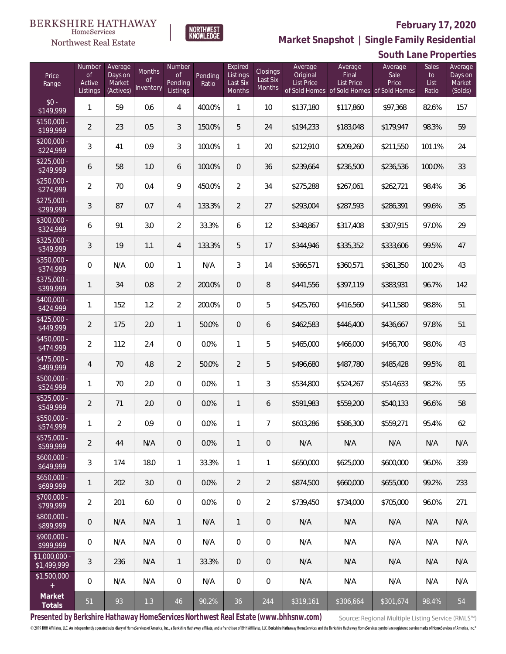

**NORTHWEST**<br>KNOWLEDGE

Northwest Real Estate

**Market Snapshot | Single Family Residential**

|                               |                                           |                                           |                           |                                            |                  |                                           |                                |                                          |                                       | South Lane Properties                                                 |                              |                                         |
|-------------------------------|-------------------------------------------|-------------------------------------------|---------------------------|--------------------------------------------|------------------|-------------------------------------------|--------------------------------|------------------------------------------|---------------------------------------|-----------------------------------------------------------------------|------------------------------|-----------------------------------------|
| Price<br>Range                | Number<br><b>of</b><br>Active<br>Listings | Average<br>Days on<br>Market<br>(Actives) | Months<br>Οf<br>Inventory | Number<br><b>of</b><br>Pending<br>Listings | Pending<br>Ratio | Expired<br>Listings<br>Last Six<br>Months | Closings<br>Last Six<br>Months | Average<br>Original<br><b>List Price</b> | Average<br>Final<br><b>List Price</b> | Average<br>Sale<br>Price<br>of Sold Homes of Sold Homes of Sold Homes | Sales<br>to<br>List<br>Ratio | Average<br>Days on<br>Market<br>(Solds) |
| $$0 -$<br>\$149,999           | $\mathbf{1}$                              | 59                                        | 0.6                       | 4                                          | 400.0%           | 1                                         | 10                             | \$137,180                                | \$117,860                             | \$97,368                                                              | 82.6%                        | 157                                     |
| $$150,000 -$<br>\$199,999     | $\overline{2}$                            | 23                                        | 0.5                       | 3                                          | 150.0%           | 5                                         | 24                             | \$194,233                                | \$183,048                             | \$179,947                                                             | 98.3%                        | 59                                      |
| $$200,000 -$<br>\$224,999     | $\mathfrak{Z}$                            | 41                                        | 0.9                       | 3                                          | 100.0%           | 1                                         | 20                             | \$212,910                                | \$209,260                             | \$211,550                                                             | 101.1%                       | 24                                      |
| $$225,000 -$<br>\$249,999     | 6                                         | 58                                        | 1.0                       | 6                                          | 100.0%           | $\overline{0}$                            | 36                             | \$239,664                                | \$236,500                             | \$236,536                                                             | 100.0%                       | 33                                      |
| $$250,000 -$<br>\$274,999     | $\overline{2}$                            | 70                                        | 0.4                       | 9                                          | 450.0%           | $\overline{2}$                            | 34                             | \$275,288                                | \$267,061                             | \$262,721                                                             | 98.4%                        | 36                                      |
| $$275,000 -$<br>\$299,999     | 3                                         | 87                                        | 0.7                       | $\overline{4}$                             | 133.3%           | $\overline{2}$                            | 27                             | \$293,004                                | \$287,593                             | \$286,391                                                             | 99.6%                        | 35                                      |
| $$300,000 -$<br>\$324,999     | 6                                         | 91                                        | 3.0                       | $\overline{2}$                             | 33.3%            | 6                                         | 12                             | \$348,867                                | \$317,408                             | \$307,915                                                             | 97.0%                        | 29                                      |
| $$325,000 -$<br>\$349,999     | 3                                         | 19                                        | 1.1                       | $\overline{4}$                             | 133.3%           | 5                                         | 17                             | \$344,946                                | \$335,352                             | \$333,606                                                             | 99.5%                        | 47                                      |
| $$350,000 -$<br>\$374,999     | $\overline{0}$                            | N/A                                       | 0.0                       | $\mathbf{1}$                               | N/A              | 3                                         | 14                             | \$366,571                                | \$360,571                             | \$361,350                                                             | 100.2%                       | 43                                      |
| $$375,000 -$<br>\$399,999     | 1                                         | 34                                        | 0.8                       | $\overline{2}$                             | 200.0%           | $\boldsymbol{0}$                          | $\, 8$                         | \$441,556                                | \$397,119                             | \$383,931                                                             | 96.7%                        | 142                                     |
| \$400,000 -<br>\$424,999      | 1                                         | 152                                       | 1.2                       | $\overline{2}$                             | 200.0%           | $\boldsymbol{0}$                          | 5                              | \$425,760                                | \$416,560                             | \$411,580                                                             | 98.8%                        | 51                                      |
| $$425,000 -$<br>\$449,999     | $\overline{2}$                            | 175                                       | 2.0                       | $\mathbf{1}$                               | 50.0%            | $\mathbf{0}$                              | 6                              | \$462,583                                | \$446,400                             | \$436,667                                                             | 97.8%                        | 51                                      |
| $$450,000 -$<br>\$474,999     | $\overline{2}$                            | 112                                       | 2.4                       | $\overline{0}$                             | 0.0%             | 1                                         | 5                              | \$465,000                                | \$466,000                             | \$456,700                                                             | 98.0%                        | 43                                      |
| $$475,000 -$<br>\$499,999     | $\overline{4}$                            | 70                                        | 4.8                       | $\overline{2}$                             | 50.0%            | $\overline{2}$                            | 5                              | \$496,680                                | \$487,780                             | \$485,428                                                             | 99.5%                        | 81                                      |
| \$500,000 -<br>\$524,999      | 1                                         | 70                                        | 2.0                       | $\overline{0}$                             | 0.0%             | 1                                         | 3                              | \$534,800                                | \$524,267                             | \$514,633                                                             | 98.2%                        | 55                                      |
| \$525,000 -<br>\$549,999      | $\overline{2}$                            | 71                                        | 2.0                       | $\theta$                                   | 0.0%             | 1                                         | 6                              | \$591,983                                | \$559,200                             | \$540,133                                                             | 96.6%                        | 58                                      |
| \$550,000 -<br>\$574,999      | $\mathbf{1}$                              | 2                                         | 0.9                       | $\mathbf{0}$                               | 0.0%             | 1                                         | $\overline{7}$                 | \$603,286                                | \$586,300                             | \$559,271                                                             | 95.4%                        | 62                                      |
| \$575,000 -<br>\$599,999      | $\overline{2}$                            | 44                                        | N/A                       | $\overline{0}$                             | 0.0%             | $\mathbf{1}$                              | $\overline{0}$                 | N/A                                      | N/A                                   | N/A                                                                   | N/A                          | N/A                                     |
| $$600,000 -$<br>\$649,999     | 3                                         | 174                                       | 18.0                      | $\mathbf{1}$                               | 33.3%            | $\mathbf{1}$                              | 1                              | \$650,000                                | \$625,000                             | \$600,000                                                             | 96.0%                        | 339                                     |
| $$650,000 -$<br>\$699,999     | 1                                         | 202                                       | 3.0                       | $\overline{0}$                             | 0.0%             | $\overline{2}$                            | $\overline{2}$                 | \$874,500                                | \$660,000                             | \$655,000                                                             | 99.2%                        | 233                                     |
| $$700,000 -$<br>\$799,999     | $\overline{2}$                            | 201                                       | 6.0                       | $\overline{0}$                             | 0.0%             | $\overline{0}$                            | $\overline{2}$                 | \$739,450                                | \$734,000                             | \$705,000                                                             | 96.0%                        | 271                                     |
| $$800,000 -$<br>\$899,999     | 0                                         | N/A                                       | N/A                       | $\mathbf{1}$                               | N/A              | $\mathbf{1}$                              | $\mathbf{0}$                   | N/A                                      | N/A                                   | N/A                                                                   | N/A                          | N/A                                     |
| $$900.000 -$<br>\$999,999     | 0                                         | N/A                                       | N/A                       | $\overline{0}$                             | N/A              | $\overline{0}$                            | $\mathbf 0$                    | N/A                                      | N/A                                   | N/A                                                                   | N/A                          | N/A                                     |
| $$1,000,000$ -<br>\$1,499,999 | 3                                         | 236                                       | N/A                       | $\mathbf{1}$                               | 33.3%            | $\overline{0}$                            | $\mathbf{0}$                   | N/A                                      | N/A                                   | N/A                                                                   | N/A                          | N/A                                     |
| \$1,500,000                   | 0                                         | N/A                                       | N/A                       | $\overline{0}$                             | N/A              | $\mathbf 0$                               | $\mathbf 0$                    | N/A                                      | N/A                                   | N/A                                                                   | N/A                          | N/A                                     |
| Market<br>Totals              | 51                                        | 93                                        | 1.3                       | 46                                         | 90.2%            | 36                                        | 244                            | \$319,161                                | \$306,664                             | \$301,674                                                             | 98.4%                        | 54                                      |

**Presented by Berkshire Hathaway HomeServices Northwest Real Estate (www.bhhsnw.com)**

Source: Regional Multiple Listing Service (RMLS™)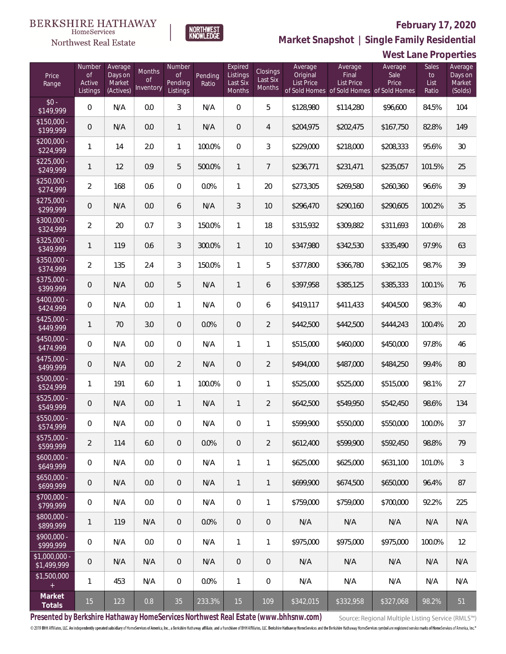

NORTHWEST<br>KNOWLEDGE

Northwest Real Estate

**Market Snapshot | Single Family Residential**

|                               | West Lane Properties                      |                                           |                           |                                            |                  |                                           |                                |                                          |                                                                                    |                          |                              |                                         |
|-------------------------------|-------------------------------------------|-------------------------------------------|---------------------------|--------------------------------------------|------------------|-------------------------------------------|--------------------------------|------------------------------------------|------------------------------------------------------------------------------------|--------------------------|------------------------------|-----------------------------------------|
| Price<br>Range                | Number<br><b>of</b><br>Active<br>Listings | Average<br>Days on<br>Market<br>(Actives) | Months<br>0f<br>Inventory | Number<br><b>of</b><br>Pending<br>Listings | Pending<br>Ratio | Expired<br>Listings<br>Last Six<br>Months | Closings<br>Last Six<br>Months | Average<br>Original<br><b>List Price</b> | Average<br>Final<br><b>List Price</b><br>of Sold Homes of Sold Homes of Sold Homes | Average<br>Sale<br>Price | Sales<br>to<br>List<br>Ratio | Average<br>Days on<br>Market<br>(Solds) |
| $$0 -$<br>\$149,999           | $\mathbf 0$                               | N/A                                       | 0.0                       | $\mathfrak{Z}$                             | N/A              | $\mathbf 0$                               | 5                              | \$128,980                                | \$114,280                                                                          | \$96,600                 | 84.5%                        | 104                                     |
| $$150,000 -$<br>\$199,999     | $\mathbf 0$                               | N/A                                       | 0.0                       | $\mathbf{1}$                               | N/A              | $\theta$                                  | 4                              | \$204,975                                | \$202,475                                                                          | \$167,750                | 82.8%                        | 149                                     |
| $$200,000 -$<br>\$224,999     | 1                                         | 14                                        | 2.0                       | $\mathbf{1}$                               | 100.0%           | $\overline{0}$                            | $\mathfrak{Z}$                 | \$229,000                                | \$218,000                                                                          | \$208,333                | 95.6%                        | 30                                      |
| $$225,000 -$<br>\$249,999     | 1                                         | 12                                        | 0.9                       | 5                                          | 500.0%           | $\mathbf{1}$                              | 7                              | \$236,771                                | \$231,471                                                                          | \$235,057                | 101.5%                       | 25                                      |
| $$250,000 -$<br>\$274,999     | $\overline{2}$                            | 168                                       | 0.6                       | 0                                          | 0.0%             | 1                                         | 20                             | \$273,305                                | \$269,580                                                                          | \$260,360                | 96.6%                        | 39                                      |
| $$275,000 -$<br>\$299,999     | $\mathbf 0$                               | N/A                                       | 0.0                       | 6                                          | N/A              | 3                                         | 10                             | \$296,470                                | \$290,160                                                                          | \$290,605                | 100.2%                       | 35                                      |
| \$300,000 -<br>\$324,999      | $\overline{2}$                            | 20                                        | 0.7                       | 3                                          | 150.0%           | $\mathbf{1}$                              | 18                             | \$315,932                                | \$309,882                                                                          | \$311,693                | 100.6%                       | 28                                      |
| $$325,000 -$<br>\$349,999     | 1                                         | 119                                       | 0.6                       | 3                                          | 300.0%           | $\mathbf{1}$                              | 10                             | \$347,980                                | \$342,530                                                                          | \$335,490                | 97.9%                        | 63                                      |
| \$350,000 -<br>\$374,999      | $\overline{2}$                            | 135                                       | 2.4                       | 3                                          | 150.0%           | 1                                         | 5                              | \$377,800                                | \$366,780                                                                          | \$362,105                | 98.7%                        | 39                                      |
| $$375,000 -$<br>\$399,999     | $\mathsf{O}\xspace$                       | N/A                                       | 0.0                       | 5                                          | N/A              | $\mathbf{1}$                              | 6                              | \$397,958                                | \$385,125                                                                          | \$385,333                | 100.1%                       | 76                                      |
| \$400,000 -<br>\$424,999      | 0                                         | N/A                                       | 0.0                       | 1                                          | N/A              | $\mathbf 0$                               | 6                              | \$419,117                                | \$411,433                                                                          | \$404,500                | 98.3%                        | 40                                      |
| $$425,000 -$<br>\$449,999     | 1                                         | 70                                        | 3.0                       | $\overline{0}$                             | 0.0%             | $\mathbf 0$                               | $\overline{2}$                 | \$442,500                                | \$442,500                                                                          | \$444,243                | 100.4%                       | 20                                      |
| $$450,000 -$<br>\$474,999     | $\mathbf 0$                               | N/A                                       | 0.0                       | 0                                          | N/A              | 1                                         | 1                              | \$515,000                                | \$460,000                                                                          | \$450,000                | 97.8%                        | 46                                      |
| $$475,000 -$<br>\$499,999     | $\mathbf 0$                               | N/A                                       | 0.0                       | $\overline{2}$                             | N/A              | $\sqrt{2}$                                | $\overline{2}$                 | \$494,000                                | \$487,000                                                                          | \$484,250                | 99.4%                        | 80                                      |
| \$500,000 -<br>\$524,999      | 1                                         | 191                                       | 6.0                       | 1                                          | 100.0%           | $\mathbf 0$                               | 1                              | \$525,000                                | \$525,000                                                                          | \$515,000                | 98.1%                        | 27                                      |
| \$525,000 -<br>\$549,999      | $\mathbf 0$                               | N/A                                       | 0.0                       | $\mathbf{1}$                               | N/A              | 1                                         | $\overline{2}$                 | \$642,500                                | \$549,950                                                                          | \$542,450                | 98.6%                        | 134                                     |
| \$550,000 -<br>\$574,999      | 0                                         | N/A                                       | 0.0                       | $\overline{0}$                             | N/A              | $\mathbf{0}$                              | 1                              | \$599,900                                | \$550,000                                                                          | \$550,000                | 100.0%                       | 37                                      |
| \$575,000 -<br>\$599,999      | $\overline{2}$                            | 114                                       | 6.0                       | $\overline{0}$                             | 0.0%             | $\overline{0}$                            | $\overline{2}$                 | \$612,400                                | \$599,900                                                                          | \$592,450                | 98.8%                        | 79                                      |
| $$600,000 -$<br>\$649,999     | 0                                         | N/A                                       | 0.0                       | 0                                          | N/A              | 1                                         | 1                              | \$625,000                                | \$625,000                                                                          | \$631,100                | 101.0%                       | $\mathfrak{Z}$                          |
| $$650,000 -$<br>\$699,999     | $\mathsf{O}\xspace$                       | N/A                                       | 0.0                       | $\overline{0}$                             | N/A              | $\mathbf{1}$                              | 1                              | \$699,900                                | \$674,500                                                                          | \$650,000                | 96.4%                        | 87                                      |
| $$700,000 -$<br>\$799,999     | $\mathbf 0$                               | N/A                                       | 0.0                       | 0                                          | N/A              | $\mathbf 0$                               | 1                              | \$759,000                                | \$759,000                                                                          | \$700,000                | 92.2%                        | 225                                     |
| $$800,000 -$<br>\$899,999     | 1                                         | 119                                       | N/A                       | $\overline{0}$                             | 0.0%             | $\mathbf{0}$                              | $\overline{0}$                 | N/A                                      | N/A                                                                                | N/A                      | N/A                          | N/A                                     |
| $$900.000 -$<br>\$999,999     | $\mathbf 0$                               | N/A                                       | 0.0                       | 0                                          | N/A              | $\mathbf{1}$                              | 1                              | \$975,000                                | \$975,000                                                                          | \$975,000                | 100.0%                       | 12                                      |
| $$1,000,000 -$<br>\$1,499,999 | $\mathbf 0$                               | N/A                                       | N/A                       | $\overline{0}$                             | N/A              | $\mathbf{0}$                              | $\overline{0}$                 | N/A                                      | N/A                                                                                | N/A                      | N/A                          | N/A                                     |
| \$1,500,000                   | 1                                         | 453                                       | N/A                       | $\mathbf 0$                                | 0.0%             | $\mathbf{1}$                              | 0                              | N/A                                      | N/A                                                                                | N/A                      | N/A                          | N/A                                     |
| Market<br>Totals              | 15                                        | 123                                       | 0.8                       | 35                                         | 233.3%           | 15                                        | 109                            | \$342,015                                | \$332,958                                                                          | \$327,068                | 98.2%                        | 51                                      |

**Presented by Berkshire Hathaway HomeServices Northwest Real Estate (www.bhhsnw.com)**

Source: Regional Multiple Listing Service (RMLS™)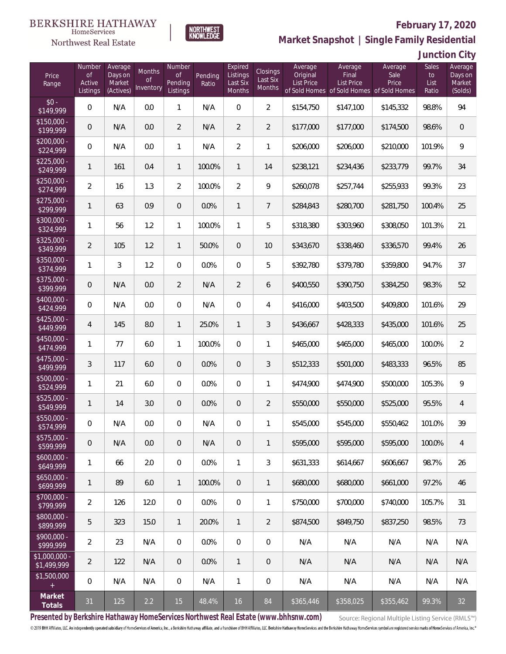### **BERKSHIRE HATHAWAY** HomeServices



### **February 17, 2020**

**Market Snapshot | Single Family Residential**

| Junction City |  |
|---------------|--|
|---------------|--|

| Price<br>Range               | Number<br><b>of</b><br>Active<br>Listings | Average<br>Days on<br>Market<br>(Actives) | Months<br>Οf<br>Inventory | Number<br><b>of</b><br>Pending<br>Listings | Pending<br>Ratio | Expired<br>Listings<br>Last Six<br>Months | Closings<br>Last Six<br>Months | Average<br>Original<br><b>List Price</b> | Average<br>Final<br><b>List Price</b><br>of Sold Homes of Sold Homes of Sold Homes | Average<br>Sale<br>Price | Sales<br>to<br>List<br>Ratio | Average<br>Days on<br>Market<br>(Solds) |
|------------------------------|-------------------------------------------|-------------------------------------------|---------------------------|--------------------------------------------|------------------|-------------------------------------------|--------------------------------|------------------------------------------|------------------------------------------------------------------------------------|--------------------------|------------------------------|-----------------------------------------|
| $$0 -$<br>\$149,999          | $\overline{0}$                            | N/A                                       | 0.0                       | $\mathbf{1}$                               | N/A              | $\Omega$                                  | $\overline{2}$                 | \$154,750                                | \$147,100                                                                          | \$145,332                | 98.8%                        | 94                                      |
| $$150,000 -$<br>\$199,999    | $\overline{0}$                            | N/A                                       | 0.0                       | $\overline{2}$                             | N/A              | $\overline{2}$                            | $\overline{2}$                 | \$177,000                                | \$177,000                                                                          | \$174,500                | 98.6%                        | $\mathbf 0$                             |
| $$200,000 -$<br>\$224,999    | $\overline{0}$                            | N/A                                       | 0.0                       | $\mathbf{1}$                               | N/A              | $\overline{2}$                            | $\mathbf{1}$                   | \$206,000                                | \$206,000                                                                          | \$210,000                | 101.9%                       | $\mathcal{G}$                           |
| $$225,000 -$<br>\$249,999    | 1                                         | 161                                       | 0.4                       | $\mathbf{1}$                               | 100.0%           | $\mathbf{1}$                              | 14                             | \$238,121                                | \$234,436                                                                          | \$233,779                | 99.7%                        | 34                                      |
| $$250,000 -$<br>\$274,999    | $\overline{2}$                            | 16                                        | 1.3                       | $\overline{2}$                             | 100.0%           | $\overline{2}$                            | 9                              | \$260,078                                | \$257,744                                                                          | \$255,933                | 99.3%                        | 23                                      |
| $$275,000 -$<br>\$299,999    | 1                                         | 63                                        | 0.9                       | $\overline{0}$                             | 0.0%             | $\mathbf{1}$                              | $\overline{7}$                 | \$284,843                                | \$280,700                                                                          | \$281,750                | 100.4%                       | 25                                      |
| $$300,000 -$<br>\$324,999    | 1                                         | 56                                        | 1.2                       | $\mathbf{1}$                               | 100.0%           | $\mathbf{1}$                              | 5                              | \$318,380                                | \$303,960                                                                          | \$308,050                | 101.3%                       | 21                                      |
| $$325,000 -$<br>\$349,999    | $\overline{2}$                            | 105                                       | 1.2                       | $\mathbf{1}$                               | 50.0%            | $\overline{0}$                            | 10                             | \$343,670                                | \$338,460                                                                          | \$336.570                | 99.4%                        | 26                                      |
| $$350,000 -$<br>\$374,999    | 1                                         | 3                                         | 1.2                       | $\overline{0}$                             | 0.0%             | $\Omega$                                  | 5                              | \$392,780                                | \$379,780                                                                          | \$359,800                | 94.7%                        | 37                                      |
| \$375,000 -<br>\$399,999     | $\overline{0}$                            | N/A                                       | 0.0                       | $\overline{2}$                             | N/A              | $\overline{2}$                            | 6                              | \$400,550                                | \$390,750                                                                          | \$384,250                | 98.3%                        | 52                                      |
| $$400,000 -$<br>\$424,999    | 0                                         | N/A                                       | 0.0                       | $\overline{0}$                             | N/A              | $\overline{0}$                            | $\overline{4}$                 | \$416,000                                | \$403,500                                                                          | \$409,800                | 101.6%                       | 29                                      |
| $$425,000 -$<br>\$449,999    | $\overline{4}$                            | 145                                       | 8.0                       | $\mathbf{1}$                               | 25.0%            | $\mathbf{1}$                              | 3                              | \$436,667                                | \$428,333                                                                          | \$435,000                | 101.6%                       | 25                                      |
| $$450,000 -$<br>\$474,999    | 1                                         | 77                                        | 6.0                       | $\mathbf{1}$                               | 100.0%           | $\Omega$                                  | 1                              | \$465,000                                | \$465,000                                                                          | \$465,000                | 100.0%                       | $\overline{2}$                          |
| \$475,000 -<br>\$499,999     | 3                                         | 117                                       | 6.0                       | $\overline{0}$                             | 0.0%             | $\overline{0}$                            | 3                              | \$512,333                                | \$501,000                                                                          | \$483,333                | 96.5%                        | 85                                      |
| $$500,000 -$<br>\$524,999    | $\mathbf{1}$                              | 21                                        | 6.0                       | $\overline{0}$                             | 0.0%             | 0                                         | 1                              | \$474,900                                | \$474,900                                                                          | \$500,000                | 105.3%                       | 9                                       |
| \$525,000 -<br>\$549,999     | $\mathbf{1}$                              | 14                                        | 3.0                       | $\overline{0}$                             | 0.0%             | $\overline{0}$                            | $\overline{2}$                 | \$550,000                                | \$550,000                                                                          | \$525,000                | 95.5%                        | $\overline{4}$                          |
| \$550,000 -<br>\$574,999     | 0                                         | N/A                                       | 0.0                       | $\mathbf{0}$                               | N/A              | 0                                         | 1                              | \$545,000                                | \$545,000                                                                          | \$550,462                | 101.0%                       | 39                                      |
| $$575,000 -$<br>\$599,999    | 0                                         | N/A                                       | 0.0                       | $\overline{0}$                             | N/A              | $\mathbf 0$                               | 1                              | \$595,000                                | \$595,000                                                                          | \$595,000                | 100.0%                       | 4                                       |
| $$600,000 -$<br>\$649,999    | 1                                         | 66                                        | 2.0                       | $\overline{0}$                             | 0.0%             | 1                                         | 3                              | \$631,333                                | \$614,667                                                                          | \$606,667                | 98.7%                        | 26                                      |
| $$650,000 -$<br>\$699,999    | $\mathbf{1}$                              | 89                                        | 6.0                       | $\overline{1}$                             | 100.0%           | 0                                         | $\mathbf{1}$                   | \$680,000                                | \$680,000                                                                          | \$661,000                | 97.2%                        | 46                                      |
| \$700,000 -<br>\$799,999     | $\overline{2}$                            | 126                                       | 12.0                      | $\mathbf 0$                                | 0.0%             | 0                                         | 1                              | \$750,000                                | \$700,000                                                                          | \$740,000                | 105.7%                       | 31                                      |
| $$800,000 -$<br>\$899,999    | 5                                         | 323                                       | 15.0                      | $\overline{1}$                             | 20.0%            | $\mathbf{1}$                              | $\overline{2}$                 | \$874,500                                | \$849,750                                                                          | \$837,250                | 98.5%                        | 73                                      |
| \$900,000 -<br>\$999,999     | $\overline{2}$                            | 23                                        | N/A                       | $\overline{0}$                             | 0.0%             | $\mathbf{0}$                              | $\mathbf 0$                    | N/A                                      | N/A                                                                                | N/A                      | N/A                          | N/A                                     |
| \$1,000,000 -<br>\$1,499,999 | $\overline{2}$                            | 122                                       | N/A                       | $\overline{0}$                             | 0.0%             | $\mathbf{1}$                              | $\mathbf 0$                    | N/A                                      | N/A                                                                                | N/A                      | N/A                          | N/A                                     |
| \$1,500,000<br>$+$           | $\mathbf 0$                               | N/A                                       | N/A                       | $\mathbf 0$                                | N/A              | 1                                         | $\mathbf 0$                    | N/A                                      | N/A                                                                                | N/A                      | N/A                          | N/A                                     |
| Market<br>Totals             | 31                                        | 125                                       | 2.2                       | 15                                         | 48.4%            | 16                                        | 84                             | \$365,446                                | \$358,025                                                                          | \$355,462                | 99.3%                        | 32                                      |

**NORTHWEST**<br>KNOWLEDGE

**Presented by Berkshire Hathaway HomeServices Northwest Real Estate (www.bhhsnw.com)**

Source: Regional Multiple Listing Service (RMLS™)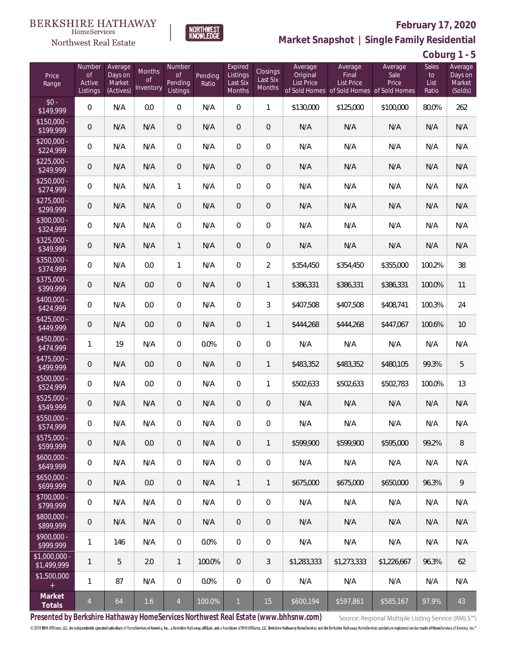### **BERKSHIRE HATHAWAY** HomeServices





# **February 17, 2020**

**Market Snapshot | Single Family Residential**

**Coburg 1 - 5**

| Price<br>Range               | Number<br><b>of</b><br>Active<br>Listings | Average<br>Days on<br>Market<br>(Actives) | Months<br>0f<br>Inventory | Number<br><b>of</b><br>Pending<br>Listings | Pending<br>Ratio | Expired<br>Listings<br>Last Six<br>Months | Closings<br>Last Six<br>Months | Average<br>Original<br><b>List Price</b> | Average<br>Final<br><b>List Price</b><br>of Sold Homes of Sold Homes of Sold Homes | Average<br>Sale<br>Price | Sales<br>to<br>List<br>Ratio | Average<br>Days on<br>Market<br>(Solds) |
|------------------------------|-------------------------------------------|-------------------------------------------|---------------------------|--------------------------------------------|------------------|-------------------------------------------|--------------------------------|------------------------------------------|------------------------------------------------------------------------------------|--------------------------|------------------------------|-----------------------------------------|
| $$0 -$<br>\$149,999          | $\overline{0}$                            | N/A                                       | 0.0                       | $\overline{0}$                             | N/A              | $\overline{0}$                            | $\mathbf{1}$                   | \$130,000                                | \$125,000                                                                          | \$100,000                | 80.0%                        | 262                                     |
| $$150,000 -$<br>\$199,999    | $\mathbf 0$                               | N/A                                       | N/A                       | $\overline{0}$                             | N/A              | $\overline{0}$                            | $\overline{0}$                 | N/A                                      | N/A                                                                                | N/A                      | N/A                          | N/A                                     |
| $$200,000 -$<br>\$224,999    | $\overline{0}$                            | N/A                                       | N/A                       | $\overline{0}$                             | N/A              | $\overline{0}$                            | $\overline{0}$                 | N/A                                      | N/A                                                                                | N/A                      | N/A                          | N/A                                     |
| $$225,000 -$<br>\$249,999    | $\mathbf 0$                               | N/A                                       | N/A                       | $\overline{0}$                             | N/A              | $\overline{0}$                            | $\overline{0}$                 | N/A                                      | N/A                                                                                | N/A                      | N/A                          | N/A                                     |
| $$250,000 -$<br>\$274,999    | $\mathbf 0$                               | N/A                                       | N/A                       | $\mathbf{1}$                               | N/A              | $\overline{0}$                            | $\overline{0}$                 | N/A                                      | N/A                                                                                | N/A                      | N/A                          | N/A                                     |
| $$275,000 -$<br>\$299,999    | $\overline{0}$                            | N/A                                       | N/A                       | $\overline{0}$                             | N/A              | $\overline{0}$                            | $\mathbf 0$                    | N/A                                      | N/A                                                                                | N/A                      | N/A                          | N/A                                     |
| $$300,000 -$<br>\$324,999    | $\mathbf 0$                               | N/A                                       | N/A                       | $\overline{0}$                             | N/A              | $\overline{0}$                            | $\overline{0}$                 | N/A                                      | N/A                                                                                | N/A                      | N/A                          | N/A                                     |
| $$325,000 -$<br>\$349,999    | $\overline{0}$                            | N/A                                       | N/A                       | $\mathbf{1}$                               | N/A              | $\overline{0}$                            | $\mathbf 0$                    | N/A                                      | N/A                                                                                | N/A                      | N/A                          | N/A                                     |
| $$350,000 -$<br>\$374,999    | $\mathbf 0$                               | N/A                                       | 0.0                       | $\mathbf{1}$                               | N/A              | $\overline{0}$                            | $\overline{2}$                 | \$354,450                                | \$354,450                                                                          | \$355,000                | 100.2%                       | 38                                      |
| $$375,000 -$<br>\$399,999    | $\overline{0}$                            | N/A                                       | 0.0                       | $\overline{0}$                             | N/A              | $\overline{0}$                            | 1                              | \$386,331                                | \$386,331                                                                          | \$386,331                | 100.0%                       | 11                                      |
| $$400,000 -$<br>\$424,999    | $\overline{0}$                            | N/A                                       | 0.0                       | $\overline{0}$                             | N/A              | $\overline{0}$                            | $\mathfrak{Z}$                 | \$407,508                                | \$407,508                                                                          | \$408,741                | 100.3%                       | 24                                      |
| $$425,000 -$<br>\$449,999    | $\overline{0}$                            | N/A                                       | 0.0                       | $\overline{0}$                             | N/A              | $\overline{0}$                            | 1                              | \$444,268                                | \$444,268                                                                          | \$447,067                | 100.6%                       | 10                                      |
| $$450,000 -$<br>\$474,999    | $\mathbf{1}$                              | 19                                        | N/A                       | $\overline{0}$                             | 0.0%             | $\overline{0}$                            | $\mathbf 0$                    | N/A                                      | N/A                                                                                | N/A                      | N/A                          | N/A                                     |
| $$475,000 -$<br>\$499,999    | $\overline{0}$                            | N/A                                       | 0.0                       | $\overline{0}$                             | N/A              | $\overline{0}$                            | 1                              | \$483,352                                | \$483,352                                                                          | \$480,105                | 99.3%                        | 5                                       |
| $$500,000 -$<br>\$524,999    | $\overline{0}$                            | N/A                                       | 0.0                       | $\overline{0}$                             | N/A              | $\overline{0}$                            | 1                              | \$502,633                                | \$502,633                                                                          | \$502,783                | 100.0%                       | 13                                      |
| $$525,000 -$<br>\$549,999    | $\overline{0}$                            | N/A                                       | N/A                       | $\overline{0}$                             | N/A              | 0                                         | $\mathbf 0$                    | N/A                                      | N/A                                                                                | N/A                      | N/A                          | N/A                                     |
| $$550,000 -$<br>\$574,999    | 0                                         | N/A                                       | N/A                       | $\overline{0}$                             | N/A              | $\overline{0}$                            | $\mathbf 0$                    | N/A                                      | N/A                                                                                | N/A                      | N/A                          | N/A                                     |
| $$575,000 -$<br>\$599,999    | $\,0\,$                                   | N/A                                       | 0.0                       | $\mathbf 0$                                | N/A              | $\boldsymbol{0}$                          | $\mathbf{1}$                   | \$599,900                                | \$599,900                                                                          | \$595,000                | 99.2%                        | 8                                       |
| $$600,000 -$<br>\$649,999    | $\,0\,$                                   | N/A                                       | N/A                       | $\mathbf 0$                                | N/A              | $\boldsymbol{0}$                          | $\mathbf 0$                    | N/A                                      | N/A                                                                                | N/A                      | N/A                          | N/A                                     |
| $$650,000 -$<br>\$699,999    | $\mathbf 0$                               | N/A                                       | 0.0                       | $\mathbf 0$                                | N/A              | $\mathbf{1}$                              | 1                              | \$675,000                                | \$675,000                                                                          | \$650,000                | 96.3%                        | 9                                       |
| $$700,000 -$<br>\$799,999    | $\mathbf 0$                               | N/A                                       | N/A                       | $\mathbf 0$                                | N/A              | $\boldsymbol{0}$                          | $\mathbf 0$                    | N/A                                      | N/A                                                                                | N/A                      | N/A                          | N/A                                     |
| $$800,000 -$<br>\$899,999    | $\mathbf 0$                               | N/A                                       | N/A                       | $\overline{0}$                             | N/A              | $\overline{0}$                            | $\mathbf 0$                    | N/A                                      | N/A                                                                                | N/A                      | N/A                          | N/A                                     |
| $$900,000 -$<br>\$999,999    | $\mathbf{1}$                              | 146                                       | N/A                       | $\mathbf 0$                                | $0.0\%$          | $\mathbf 0$                               | $\mathbf 0$                    | N/A                                      | N/A                                                                                | N/A                      | N/A                          | N/A                                     |
| \$1,000,000 -<br>\$1,499,999 | $\mathbf{1}$                              | 5                                         | 2.0                       | $\mathbf{1}$                               | 100.0%           | 0                                         | 3                              | \$1,283,333                              | \$1,273,333                                                                        | \$1,226,667              | 96.3%                        | 62                                      |
| \$1,500,000<br>$\pm$         | $\mathbf{1}$                              | 87                                        | N/A                       | 0                                          | 0.0%             | $\overline{0}$                            | $\mathbf 0$                    | N/A                                      | N/A                                                                                | N/A                      | N/A                          | N/A                                     |
| Market<br>Totals             | $\overline{4}$                            | 64                                        | 1.6                       | $\overline{4}$                             | 100.0%           | $\mathbf{1}$                              | 15                             | \$600,194                                | \$597,861                                                                          | \$585,167                | 97.9%                        | 43                                      |

**Presented by Berkshire Hathaway HomeServices Northwest Real Estate (www.bhhsnw.com)**

Source: Regional Multiple Listing Service (RMLS™)